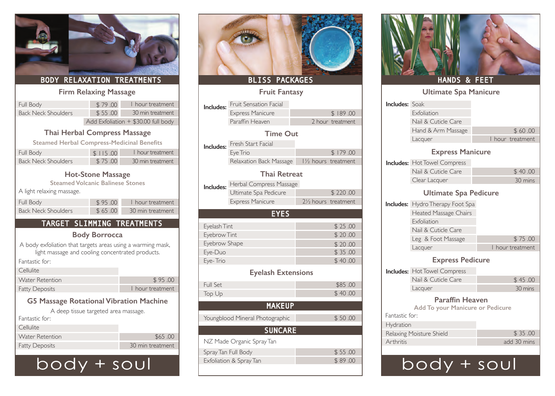| <b>BODY RELAXATION TREATMENTS</b>                                                                                                                               |                              |                                                                             |                                                                      | BLISS PACKAGES                                                               |                   |
|-----------------------------------------------------------------------------------------------------------------------------------------------------------------|------------------------------|-----------------------------------------------------------------------------|----------------------------------------------------------------------|------------------------------------------------------------------------------|-------------------|
|                                                                                                                                                                 | <b>Firm Relaxing Massage</b> |                                                                             |                                                                      | <b>Fruit Fantasy</b>                                                         |                   |
| Full Body<br><b>Back Neck Shoulders</b>                                                                                                                         | \$79.00<br>\$55.00           | I hour treatment<br>30 min treatment<br>Add Exfoliation + \$30.00 full body | Includes:                                                            | Fruit Sensation Facial<br><b>Express Manicure</b><br>Paraffin Heaven         | 21                |
| <b>Thai Herbal Compress Massage</b><br><b>Steamed Herbal Compress-Medicinal Benefits</b><br>Full Body<br><b>Back Neck Shoulders</b>                             | \$115.00<br>\$75.00          | I hour treatment<br>30 min treatment                                        | Includes:                                                            | <b>Time Out</b><br>Fresh Start Facial<br>Eye Trio<br>Relaxation Back Massage | $1\frac{1}{2}$ hc |
| <b>Hot-Stone Massage</b><br><b>Steamed Volcanic Balinese Stones</b><br>A light relaxing massage.                                                                |                              |                                                                             | Includes:                                                            | <b>Thai Retreat</b><br>Herbal Compress Massage<br>Ultimate Spa Pedicure      |                   |
| Full Body<br><b>Back Neck Shoulders</b>                                                                                                                         | \$95.00<br>\$65.00           | I hour treatment<br>30 min treatment                                        |                                                                      | <b>Express Manicure</b><br><b>EYES</b>                                       | $2\frac{1}{2}$ hc |
| TARGET SLIMMING TREATMENTS<br>A body exfoliation that targets areas using a warming mask,<br>light massage and cooling concentrated products.<br>Fantastic for: | <b>Body Borrocca</b>         |                                                                             | Eyelash Tint<br>Eyebrow Tint<br>Eyebrow Shape<br>Eye-Duo<br>Eye-Trio |                                                                              |                   |
| Cellulite<br><b>Water Retention</b>                                                                                                                             |                              | \$95.00                                                                     | Full Set                                                             | <b>Eyelash Extensions</b>                                                    |                   |
| <b>Fatty Deposits</b>                                                                                                                                           |                              | I hour treatment                                                            | Top Up                                                               |                                                                              |                   |
| <b>G5 Massage Rotational Vibration Machine</b>                                                                                                                  |                              |                                                                             |                                                                      | <b>MAKEUP</b>                                                                |                   |
| A deep tissue targeted area massage.                                                                                                                            |                              |                                                                             |                                                                      |                                                                              |                   |
| Fantastic for:                                                                                                                                                  |                              |                                                                             |                                                                      | Youngblood Mineral Photographic                                              |                   |
| Cellulite<br><b>Water Retention</b>                                                                                                                             |                              | \$65.00                                                                     |                                                                      | <b>SUNCARE</b>                                                               |                   |
| <b>Fatty Deposits</b>                                                                                                                                           |                              | 30 min treatment                                                            |                                                                      | NZ Made Organic Spray Tan                                                    |                   |

# body + soul



# **Fruit Fantasy**

| Includes:                | Fruit Sensation Facial          |                                  | <b>Includes: Soak</b> |                                                            |                  |
|--------------------------|---------------------------------|----------------------------------|-----------------------|------------------------------------------------------------|------------------|
|                          | <b>Express Manicure</b>         | \$189.00                         |                       | Exfoliation                                                |                  |
|                          | Paraffin Heaven                 | 2 hour treatment                 |                       | Nail & Cuticle Care                                        |                  |
|                          | <b>Time Out</b>                 |                                  |                       | Hand & Arm Massage                                         | \$60.00          |
|                          | Fresh Start Facial              |                                  |                       | Lacquer                                                    | I hour treatment |
| Includes:                | Eye Trio                        | \$179.00                         |                       | <b>Express Manicure</b>                                    |                  |
|                          | Relaxation Back Massage         | 11/2 hours treatment             |                       | <b>Includes:</b> Hot Towel Compress                        |                  |
|                          | <b>Thai Retreat</b>             |                                  |                       | Nail & Cuticle Care                                        | \$40.00          |
| Includes:                | Herbal Compress Massage         |                                  |                       | Clear Lacquer                                              | 30 mins          |
|                          | Ultimate Spa Pedicure           | \$220.00                         |                       | <b>Ultimate Spa Pedicure</b>                               |                  |
|                          | <b>Express Manicure</b>         | 21/ <sub>2</sub> hours treatment |                       | <b>Includes:</b> Hydro Therapy Foot Spa                    |                  |
|                          | <b>EYES</b>                     |                                  |                       | Heated Massage Chairs                                      |                  |
|                          |                                 |                                  |                       | Exfoliation                                                |                  |
| Eyelash Tint             |                                 | \$25.00                          |                       | Nail & Cuticle Care                                        |                  |
| Eyebrow Tint             |                                 | \$20.00                          |                       | Leg & Foot Massage                                         | \$75.00          |
| Eyebrow Shape<br>Eye-Duo |                                 | \$20.00<br>\$35.00               |                       | Lacquer                                                    | I hour treatment |
| Eye-Trio                 |                                 | \$40.00                          |                       | <b>Express Pedicure</b>                                    |                  |
|                          | <b>Eyelash Extensions</b>       |                                  |                       | <b>Includes: Hot Towel Compress</b>                        |                  |
| Full Set                 |                                 |                                  |                       | Nail & Cuticle Care                                        | \$45.00          |
|                          |                                 | \$85.00<br>\$40.00               |                       | Lacquer                                                    | 30 mins          |
| Top Up                   | <b>MAKEUP</b>                   |                                  |                       | <b>Paraffin Heaven</b><br>Add To your Manicure or Pedicure |                  |
|                          | Youngblood Mineral Photographic | \$50.00                          | Fantastic for:        |                                                            |                  |
|                          |                                 |                                  | Hydration             |                                                            |                  |
|                          | <b>SUNCARE</b>                  |                                  |                       | Relaxing Moisture Shield                                   | \$35.00          |
|                          | NZ Made Organic Spray Tan       |                                  | Arthritis             |                                                            | add 30 mins      |
|                          | Spray Tan Full Body             | \$55.00                          |                       |                                                            |                  |
|                          | Exfoliation & Spray Tan         | \$89.00                          |                       |                                                            | SOL              |



## HANDS & FEET

|                          | <b>Ultimate Spa Manicure</b>                               |                  |
|--------------------------|------------------------------------------------------------|------------------|
| <b>Includes: Soak</b>    |                                                            |                  |
|                          | Exfoliation                                                |                  |
|                          | Nail & Cuticle Care                                        |                  |
|                          | Hand & Arm Massage                                         | \$60.00          |
|                          | Lacquer                                                    | I hour treatment |
|                          | <b>Express Manicure</b>                                    |                  |
|                          | <b>Includes: Hot Towel Compress</b>                        |                  |
|                          | Nail & Cuticle Care                                        | \$40.00          |
|                          | Clear Lacquer                                              | 30 mins          |
|                          | <b>Ultimate Spa Pedicure</b>                               |                  |
|                          | <b>Includes:</b> Hydro Therapy Foot Spa                    |                  |
|                          | <b>Heated Massage Chairs</b>                               |                  |
|                          | Exfoliation                                                |                  |
|                          | Nail & Cuticle Care                                        |                  |
|                          | Leg & Foot Massage                                         | \$75.00          |
|                          | Lacquer                                                    | I hour treatment |
|                          | <b>Express Pedicure</b>                                    |                  |
|                          | <b>Includes: Hot Towel Compress</b>                        |                  |
|                          | Nail & Cuticle Care                                        | \$45.00          |
|                          | Lacquer                                                    | 30 mins          |
|                          | <b>Paraffin Heaven</b><br>Add To your Manicure or Pedicure |                  |
| Fantastic for:           |                                                            |                  |
| Hydration                |                                                            |                  |
| Relaxing Moisture Shield |                                                            | \$35.00          |
| Arthritis                |                                                            | add 30 mins      |
|                          |                                                            |                  |
|                          | bod                                                        | t sou            |